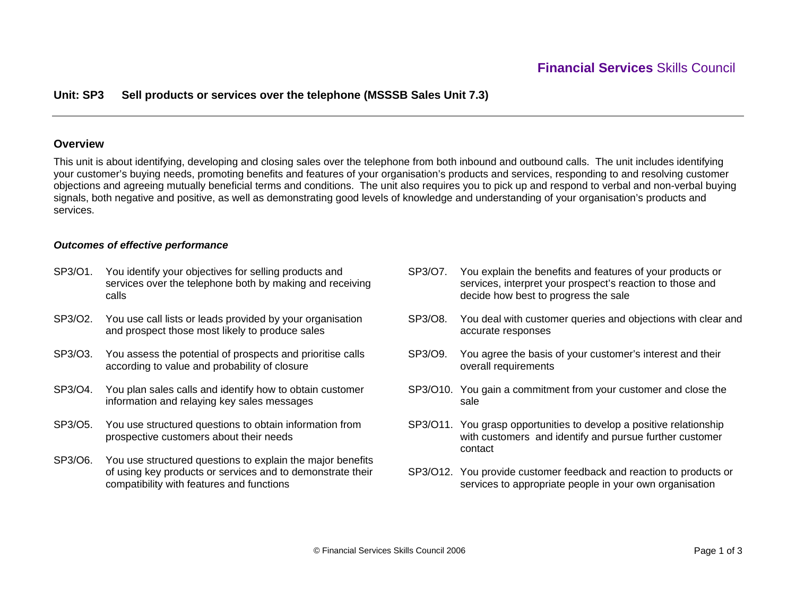# **Unit: SP3 Sell products or services over the telephone (MSSSB Sales Unit 7.3)**

## **Overview**

This unit is about identifying, developing and closing sales over the telephone from both inbound and outbound calls. The unit includes identifying your customer's buying needs, promoting benefits and features of your organisation's products and services, responding to and resolving customer objections and agreeing mutually beneficial terms and conditions. The unit also requires you to pick up and respond to verbal and non-verbal buying signals, both negative and positive, as well as demonstrating good levels of knowledge and understanding of your organisation's products and services.

## *Outcomes of effective performance*

- SP3/O1. You identify your objectives for selling products and services over the telephone both by making and receiving calls
- SP3/O2. You use call lists or leads provided by your organisation and prospect those most likely to produce sales
- SP3/O3. You assess the potential of prospects and prioritise calls according to value and probability of closure
- SP3/O4. You plan sales calls and identify how to obtain customer information and relaying key sales messages
- SP3/O5. You use structured questions to obtain information from prospective customers about their needs
- SP3/O6. You use structured questions to explain the major benefits of using key products or services and to demonstrate their compatibility with features and functions
- SP3/O7. You explain the benefits and features of your products or services, interpret your prospect's reaction to those and decide how best to progress the sale
- SP3/O8. You deal with customer queries and objections with clear and accurate responses
- SP3/O9. You agree the basis of your customer's interest and their overall requirements
- SP3/O10. You gain a commitment from your customer and close the sale
- SP3/O11. You grasp opportunities to develop a positive relationship with customers and identify and pursue further customer contact
- SP3/O12. You provide customer feedback and reaction to products or services to appropriate people in your own organisation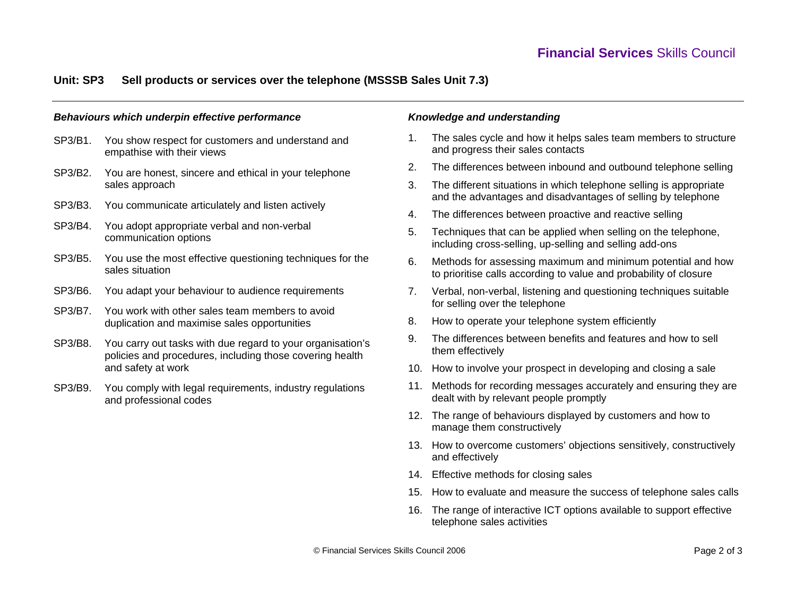# **Unit: SP3 Sell products or services over the telephone (MSSSB Sales Unit 7.3)**

#### *Behaviours which underpin effective performance*

- SP3/B1. You show respect for customers and understand and empathise with their views
- SP3/B2. You are honest, sincere and ethical in your telephone sales approach
- SP3/B3. You communicate articulately and listen actively
- SP3/B4. You adopt appropriate verbal and non-verbal communication options
- SP3/B5. You use the most effective questioning techniques for the sales situation
- SP3/B6. You adapt your behaviour to audience requirements
- SP3/B7. You work with other sales team members to avoid duplication and maximise sales opportunities
- SP3/B8. You carry out tasks with due regard to your organisation's policies and procedures, including those covering health and safety at work
- SP3/B9. You comply with legal requirements, industry regulations and professional codes

### *Knowledge and understanding*

- 1. The sales cycle and how it helps sales team members to structure and progress their sales contacts
- 2. The differences between inbound and outbound telephone selling
- 3. The different situations in which telephone selling is appropriate and the advantages and disadvantages of selling by telephone
- 4. The differences between proactive and reactive selling
- 5. Techniques that can be applied when selling on the telephone, including cross-selling, up-selling and selling add-ons
- 6. Methods for assessing maximum and minimum potential and how to prioritise calls according to value and probability of closure
- 7. Verbal, non-verbal, listening and questioning techniques suitable for selling over the telephone
- 8. How to operate your telephone system efficiently
- 9. The differences between benefits and features and how to sell them effectively
- 10. How to involve your prospect in developing and closing a sale
- 11. Methods for recording messages accurately and ensuring they are dealt with by relevant people promptly
- 12. The range of behaviours displayed by customers and how to manage them constructively
- 13. How to overcome customers' objections sensitively, constructively and effectively
- 14. Effective methods for closing sales
- 15. How to evaluate and measure the success of telephone sales calls
- 16. The range of interactive ICT options available to support effective telephone sales activities